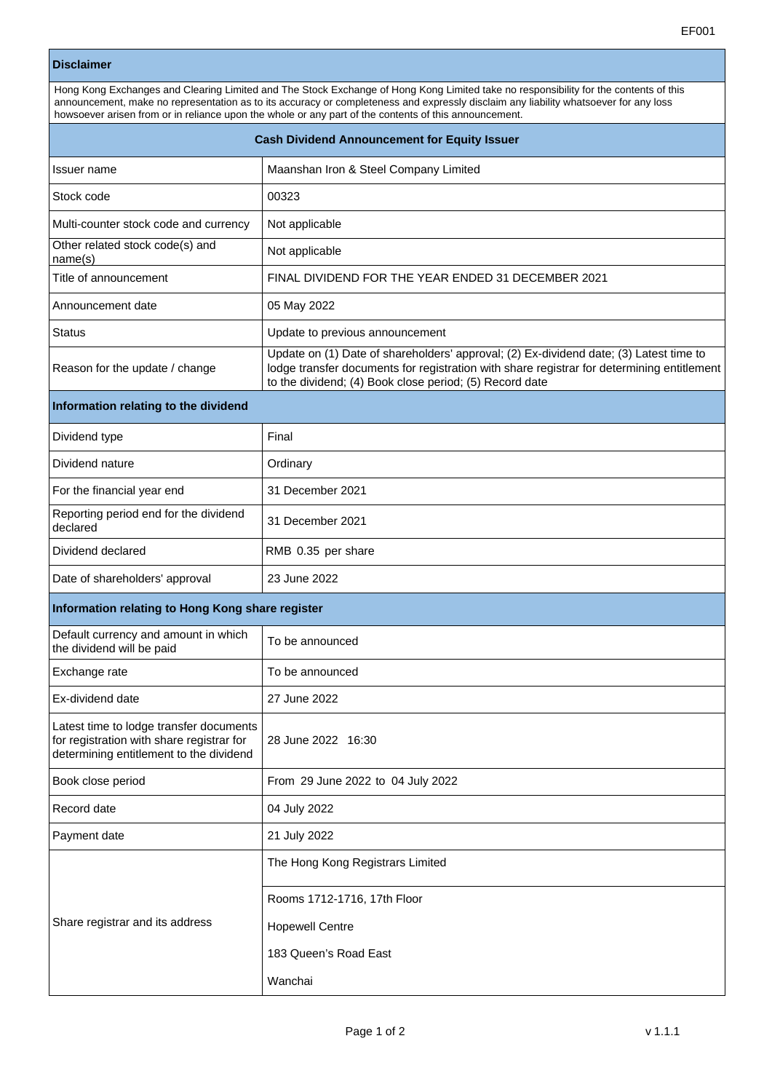## **Disclaimer**

| Disclaimer                                          |                                                                                                                                                                                                                                                                                                                                                                                       |  |
|-----------------------------------------------------|---------------------------------------------------------------------------------------------------------------------------------------------------------------------------------------------------------------------------------------------------------------------------------------------------------------------------------------------------------------------------------------|--|
|                                                     | Hong Kong Exchanges and Clearing Limited and The Stock Exchange of Hong Kong Limited take no responsibility for the contents of this<br>announcement, make no representation as to its accuracy or completeness and expressly disclaim any liability whatsoever for any loss<br>howsoever arisen from or in reliance upon the whole or any part of the contents of this announcement. |  |
| <b>Cash Dividend Announcement for Equity Issuer</b> |                                                                                                                                                                                                                                                                                                                                                                                       |  |
| Issuer name                                         | Maanshan Iron & Steel Company Limited                                                                                                                                                                                                                                                                                                                                                 |  |
| Stock code                                          | 00323                                                                                                                                                                                                                                                                                                                                                                                 |  |
| Multi-counter stock code and currency               | Not applicable                                                                                                                                                                                                                                                                                                                                                                        |  |
| Other related stock code(s) and<br>name(s)          | Not applicable                                                                                                                                                                                                                                                                                                                                                                        |  |
| Title of announcement                               | FINAL DIVIDEND FOR THE YEAR ENDED 31 DECEMBER 2021                                                                                                                                                                                                                                                                                                                                    |  |
| Announcement date                                   | 05 May 2022                                                                                                                                                                                                                                                                                                                                                                           |  |
| <b>Status</b>                                       | Update to previous announcement                                                                                                                                                                                                                                                                                                                                                       |  |
|                                                     | Update on (1) Date of shareholders' approval; (2) Ex-dividend date; (3) Latest time to                                                                                                                                                                                                                                                                                                |  |

## **Information relating to the dividend**

Reason for the update / change

| Dividend type                                     | Final              |
|---------------------------------------------------|--------------------|
| Dividend nature                                   | Ordinary           |
| For the financial year end                        | 31 December 2021   |
| Reporting period end for the dividend<br>declared | 31 December 2021   |
| Dividend declared                                 | RMB 0.35 per share |
| Date of shareholders' approval                    | 23 June 2022       |

to the dividend; (4) Book close period; (5) Record date

lodge transfer documents for registration with share registrar for determining entitlement

## **Information relating to Hong Kong share register**

| Default currency and amount in which<br>the dividend will be paid                                                               | To be announced                   |
|---------------------------------------------------------------------------------------------------------------------------------|-----------------------------------|
| Exchange rate                                                                                                                   | To be announced                   |
| Ex-dividend date                                                                                                                | 27 June 2022                      |
| Latest time to lodge transfer documents<br>for registration with share registrar for<br>determining entitlement to the dividend | 28 June 2022 16:30                |
| Book close period                                                                                                               | From 29 June 2022 to 04 July 2022 |
| Record date                                                                                                                     | 04 July 2022                      |
| Payment date                                                                                                                    | 21 July 2022                      |
| Share registrar and its address                                                                                                 | The Hong Kong Registrars Limited  |
|                                                                                                                                 | Rooms 1712-1716, 17th Floor       |
|                                                                                                                                 | <b>Hopewell Centre</b>            |
|                                                                                                                                 | 183 Queen's Road East             |
|                                                                                                                                 | Wanchai                           |